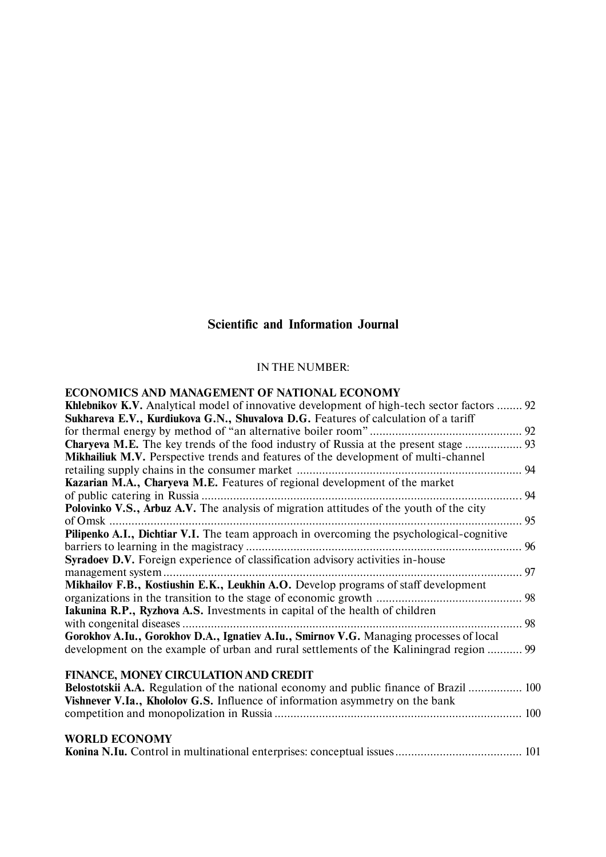# **Scientific and Information Journal**

# IN THE NUMBER:

### **ECONOMICS AND MANAGEMENT OF NATIONAL ECONOMY**

| <b>Khlebnikov K.V.</b> Analytical model of innovative development of high-tech sector factors  92 |  |
|---------------------------------------------------------------------------------------------------|--|
| Sukhareva E.V., Kurdiukova G.N., Shuvalova D.G. Features of calculation of a tariff               |  |
|                                                                                                   |  |
| <b>Charyeva M.E.</b> The key trends of the food industry of Russia at the present stage  93       |  |
| <b>Mikhailiuk M.V.</b> Perspective trends and features of the development of multi-channel        |  |
|                                                                                                   |  |
| Kazarian M.A., Charyeva M.E. Features of regional development of the market                       |  |
|                                                                                                   |  |
| Polovinko V.S., Arbuz A.V. The analysis of migration attitudes of the youth of the city           |  |
| . 95<br>of Omsk                                                                                   |  |
| Pilipenko A.I., Dichtiar V.I. The team approach in overcoming the psychological-cognitive         |  |
|                                                                                                   |  |
| Syradoev D.V. Foreign experience of classification advisory activities in-house                   |  |
|                                                                                                   |  |
| Mikhailov F.B., Kostiushin E.K., Leukhin A.O. Develop programs of staff development               |  |
|                                                                                                   |  |
| Iakunina R.P., Ryzhova A.S. Investments in capital of the health of children                      |  |
|                                                                                                   |  |
| Gorokhov A.Iu., Gorokhov D.A., Ignatiev A.Iu., Smirnov V.G. Managing processes of local           |  |
| development on the example of urban and rural settlements of the Kaliningrad region  99           |  |
|                                                                                                   |  |
| FINANCE, MONEY CIRCULATION AND CREDIT                                                             |  |
| Belostotskii A.A. Regulation of the national economy and public finance of Brazil  100            |  |
| Vishnever V.Ia., Khololov G.S. Influence of information asymmetry on the bank                     |  |
|                                                                                                   |  |
|                                                                                                   |  |

# **WORLD ECONOMY**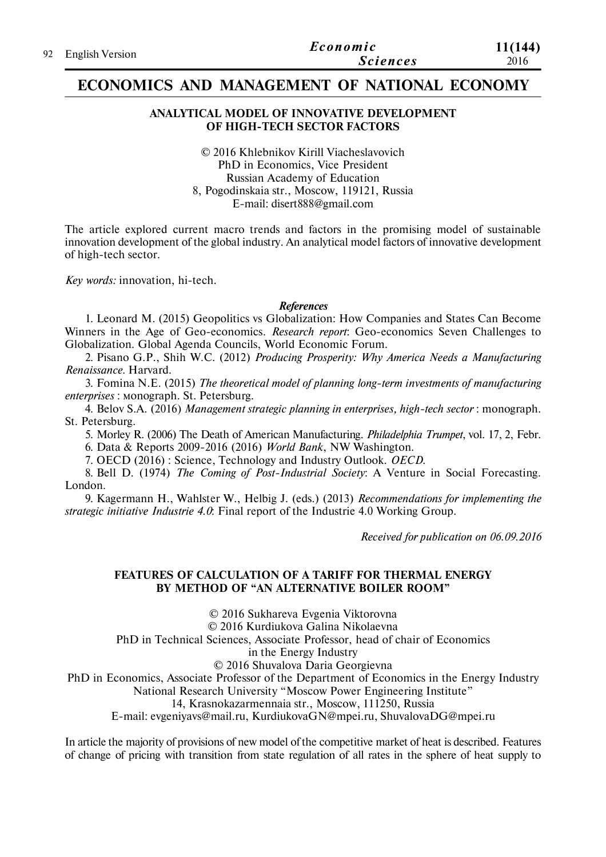# **ECONOMICS AND MANAGEMENT OF NATIONAL ECONOMY**

#### **ANALYTICAL MODEL OF INNOVATIVE DEVELOPMENT OF HIGH-TECH SECTOR FACTORS**

© 2016 Khlebnikov Kirill Viacheslavovich PhD in Economics, Vice President Russian Academy of Education 8, Pogodinskaia str., Moscow, 119121, Russia E-mail: disert888@gmail.com

The article explored current macro trends and factors in the promising model of sustainable innovation development of the global industry. An analytical model factors of innovative development of high-tech sector.

*Key words:* innovation, hi-tech.

#### *References*

1. Leonard M. (2015) Geopolitics vs Globalization: How Companies and States Can Become Winners in the Age of Geo-economics. *Research report*: Geo-economics Seven Challenges to Globalization. Global Agenda Councils, World Economic Forum.

2. Pisano G.P., Shih W.C. (2012) *Producing Prosperity: Why America Needs a Manufacturing Renaissance*. Harvard.

3. Fomina N.E. (2015) *The theoretical model of planning long-term investments of manufacturing enterprises* : мonograph. St. Petersburg.

4. Belov S.A. (2016) *Management strategic planning in enterprises, high-tech sector* : monograph. St. Petersburg.

5. Morley R. (2006) The Death of American Manufacturing. *Philadelphia Trumpet*, vol. 17, 2, Febr. 6. Data & Reports 2009-2016 (2016) *World Bank*, NW Washington.

7. OECD (2016) : Science, Technology and Industry Outlook. *OECD*.

8. Bell D. (1974) *The Coming of Post-Industrial Society*: A Venture in Social Forecasting. London.

9. Kagermann H., Wahlster W., Helbig J. (eds.) (2013) *Recommendations for implementing the strategic initiative Industrie 4.0*: Final report of the Industrie 4.0 Working Group.

*Received for publication on 06.09.2016*

### **FEATURES OF CALCULATION OF A TARIFF FOR THERMAL ENERGY BY METHOD OF "AN ALTERNATIVE BOILER ROOM"**

© 2016 Sukhareva Evgenia Viktorovna

© 2016 Kurdiukova Galina Nikolaevna

PhD in Technical Sciences, Associate Professor, head of chair of Economics

in the Energy Industry

© 2016 Shuvalova Daria Georgievna

PhD in Economics, Associate Professor of the Department of Economics in the Energy Industry

National Research University "Moscow Power Engineering Institute"

14, Krasnokazarmennaia str., Moscow, 111250, Russia

E-mail: evgeniyavs@mail.ru, KurdiukovaGN@mpei.ru, ShuvalovaDG@mpei.ru

In article the majority of provisions of new model of the competitive market of heat is described. Features of change of pricing with transition from state regulation of all rates in the sphere of heat supply to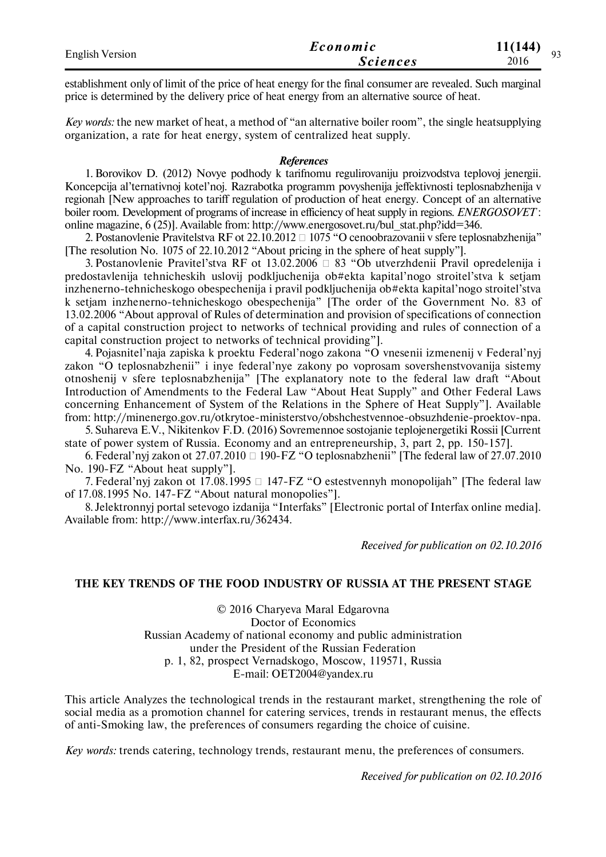| <b>English Version</b> | Economic        | 11(144)<br>$\Omega$ |
|------------------------|-----------------|---------------------|
|                        | <i>Sciences</i> | 2016                |
|                        |                 |                     |

establishment only of limit of the price of heat energy for the final consumer are revealed. Such marginal price is determined by the delivery price of heat energy from an alternative source of heat.

*Key words:* the new market of heat, a method of "an alternative boiler room", the single heatsupplying organization, a rate for heat energy, system of centralized heat supply.

#### *References*

1. Borovikov D. (2012) Novye podhody k tarifnomu regulirovaniju proizvodstva teplovoj jenergii. Koncepcija al'ternativnoj kotel'noj. Razrabotka programm povyshenija jeffektivnosti teplosnabzhenija v regionah [New approaches to tariff regulation of production of heat energy. Concept of an alternative boiler room. Development of programs of increase in efficiency of heat supply in regions. *ENERGOSOVET* : online magazine, 6 (25)]. Available from: http://www.energosovet.ru/bul\_stat.php?idd=346.

2. Postanovlenie Pravitelstva RF ot 22.10.2012  $\Box$  1075 "O cenoobrazovanii v sfere teplosnabzhenija" [The resolution No. 1075 of 22.10.2012 "About pricing in the sphere of heat supply"].

3. Postanovlenie Pravitel'stva RF ot 13.02.2006  $\Box$  83 "Ob utverzhdenii Pravil opredelenija i predostavlenija tehnicheskih uslovij podkljuchenija ob#ekta kapital'nogo stroitel'stva k setjam inzhenerno-tehnicheskogo obespechenija i pravil podkljuchenija ob#ekta kapital'nogo stroitel'stva k setjam inzhenerno-tehnicheskogo obespechenija" [The order of the Government No. 83 of 13.02.2006 "About approval of Rules of determination and provision of specifications of connection of a capital construction project to networks of technical providing and rules of connection of a capital construction project to networks of technical providing"].

4. Pojasnitel'naja zapiska k proektu Federal'nogo zakona "O vnesenii izmenenij v Federal'nyj zakon "O teplosnabzhenii" i inye federal'nye zakony po voprosam sovershenstvovanija sistemy otnoshenij v sfere teplosnabzhenija" [The explanatory note to the federal law draft "About Introduction of Amendments to the Federal Law "About Heat Supply" and Other Federal Laws concerning Enhancement of System of the Relations in the Sphere of Heat Supply"]. Available from: http://minenergo.gov.ru/otkrytoe-ministerstvo/obshchestvennoe-obsuzhdenie-proektov-npa.

5. Suhareva E.V., Nikitenkov F.D. (2016) Sovremennoe sostojanie teplojenergetiki Rossii [Current state of power system of Russia. Economy and an entrepreneurship, 3, part 2, рр. 150-157].

6. Federal'nyj zakon ot 27.07.2010  $\Box$  190-FZ "O teplosnabzhenii" [The federal law of 27.07.2010 No. 190-FZ "About heat supply"].

7. Federal'nyi zakon ot 17.08.1995  $\Box$  147-FZ "O estestvennyh monopolijah" [The federal law of 17.08.1995 No. 147-FZ "About natural monopolies"].

8. Jelektronnyj portal setevogo izdanija "Interfaks" [Electronic portal of Interfax online media]. Available from: http://www.interfax.ru/362434.

*Received for publication on 02.10.2016*

#### **THE KEY TRENDS OF THE FOOD INDUSTRY OF RUSSIA AT THE PRESENT STAGE**

© 2016 Charyeva Maral Edgarovna Doctor of Economics Russian Academy of national economy and public administration under the President of the Russian Federation p. 1, 82, prospect Vernadskogo, Moscow, 119571, Russia E-mail: OET2004@yandex.ru

This article Analyzes the technological trends in the restaurant market, strengthening the role of social media as a promotion channel for catering services, trends in restaurant menus, the effects of anti-Smoking law, the preferences of consumers regarding the choice of cuisine.

*Key words:* trends catering, technology trends, restaurant menu, the preferences of consumers.

*Received for publication on 02.10.2016*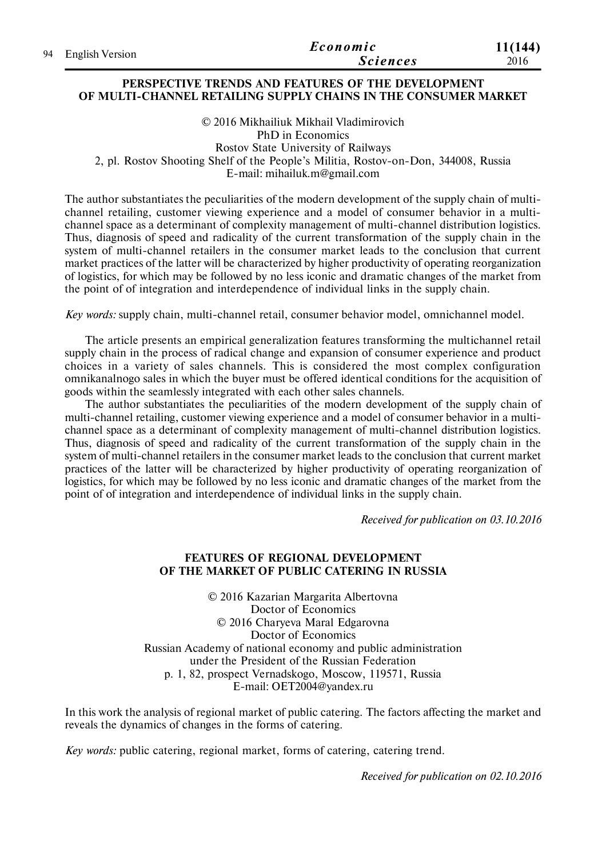| 94 English Version | Economic        | 11(144) |
|--------------------|-----------------|---------|
|                    | <b>Sciences</b> | 2016    |

### **PERSPECTIVE TRENDS AND FEATURES OF THE DEVELOPMENT OF MULTI-CHANNEL RETAILING SUPPLY CHAINS IN THE CONSUMER MARKET**

© 2016 Mikhailiuk Mikhail Vladimirovich PhD in Economics Rostov State University of Railways 2, pl. Rostov Shooting Shelf of the People's Militia, Rostov-on-Don, 344008, Russia E-mail: mihailuk.m@gmail.com

The author substantiates the peculiarities of the modern development of the supply chain of multichannel retailing, customer viewing experience and a model of consumer behavior in a multichannel space as a determinant of complexity management of multi-channel distribution logistics. Thus, diagnosis of speed and radicality of the current transformation of the supply chain in the system of multi-channel retailers in the consumer market leads to the conclusion that current market practices of the latter will be characterized by higher productivity of operating reorganization of logistics, for which may be followed by no less iconic and dramatic changes of the market from the point of of integration and interdependence of individual links in the supply chain.

*Key words:* supply chain, multi-channel retail, consumer behavior model, omnichannel model.

The article presents an empirical generalization features transforming the multichannel retail supply chain in the process of radical change and expansion of consumer experience and product choices in a variety of sales channels. This is considered the most complex configuration omnikanalnogo sales in which the buyer must be offered identical conditions for the acquisition of goods within the seamlessly integrated with each other sales channels.

The author substantiates the peculiarities of the modern development of the supply chain of multi-channel retailing, customer viewing experience and a model of consumer behavior in a multichannel space as a determinant of complexity management of multi-channel distribution logistics. Thus, diagnosis of speed and radicality of the current transformation of the supply chain in the system of multi-channel retailers in the consumer market leads to the conclusion that current market practices of the latter will be characterized by higher productivity of operating reorganization of logistics, for which may be followed by no less iconic and dramatic changes of the market from the point of of integration and interdependence of individual links in the supply chain.

*Received for publication on 03.10.2016*

# **FEATURES OF REGIONAL DEVELOPMENT OF THE MARKET OF PUBLIC CATERING IN RUSSIA**

© 2016 Kazarian Margarita Albertovna Doctor of Economics © 2016 Charyeva Maral Edgarovna Doctor of Economics Russian Academy of national economy and public administration under the President of the Russian Federation p. 1, 82, prospect Vernadskogo, Moscow, 119571, Russia E-mail: OET2004@yandex.ru

In this work the analysis of regional market of public catering. The factors affecting the market and reveals the dynamics of changes in the forms of catering.

*Key words:* public catering, regional market, forms of catering, catering trend.

*Received for publication on 02.10.2016*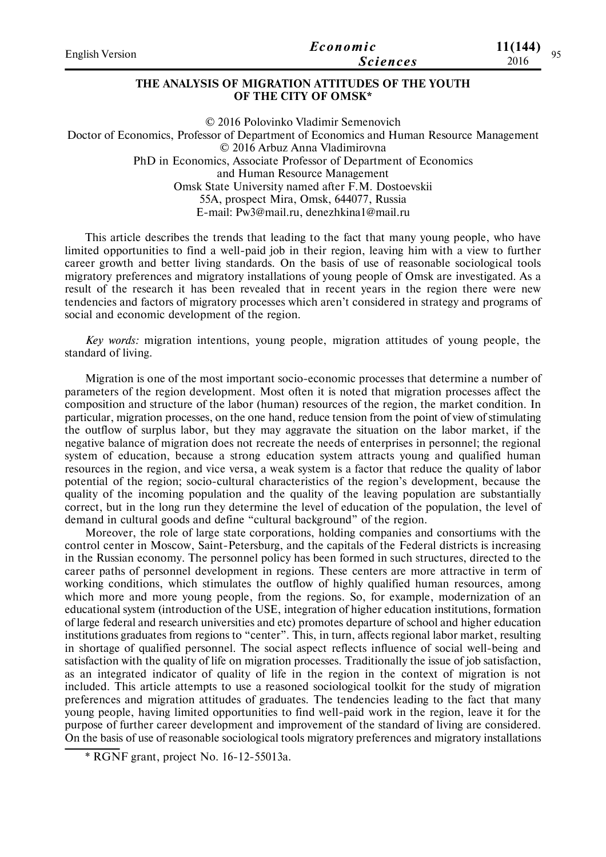| <b>English Version</b> | Economic        | 11(144)<br>05 |
|------------------------|-----------------|---------------|
|                        | <b>Sciences</b> | 2016          |
|                        |                 |               |

# **THE ANALYSIS OF MIGRATION ATTITUDES OF THE YOUTH OF THE CITY OF OMSK\***

© 2016 Polovinko Vladimir Semenovich Doctor of Economics, Professor of Department of Economics and Human Resource Management © 2016 Arbuz Anna Vladimirovna PhD in Economics, Associate Professor of Department of Economics and Human Resource Management Omsk State University named after F.M. Dostoevskii 55A, prospect Mira, Omsk, 644077, Russia E-mail: Pw3@mail.ru, denezhkina1@mail.ru

Тhis article describes the trends that leading to the fact that many young people, who have limited opportunities to find a well-paid job in their region, leaving him with a view to further career growth and better living standards. On the basis of use of reasonable sociological tools migratory preferences and migratory installations of young people of Omsk are investigated. As a result of the research it has been revealed that in recent years in the region there were new tendencies and factors of migratory processes which aren't considered in strategy and programs of social and economic development of the region.

*Key words:* migration intentions, young people, migration attitudes of young people, the standard of living.

Migration is one of the most important socio-economic processes that determine a number of parameters of the region development. Most often it is noted that migration processes affect the composition and structure of the labor (human) resources of the region, the market condition. In particular, migration processes, on the one hand, reduce tension from the point of view of stimulating the outflow of surplus labor, but they may aggravate the situation on the labor market, if the negative balance of migration does not recreate the needs of enterprises in personnel; the regional system of education, because a strong education system attracts young and qualified human resources in the region, and vice versa, a weak system is a factor that reduce the quality of labor potential of the region; socio-cultural characteristics of the region's development, because the quality of the incoming population and the quality of the leaving population are substantially correct, but in the long run they determine the level of education of the population, the level of demand in cultural goods and define "cultural background" of the region.

Moreover, the role of large state corporations, holding companies and consortiums with the control center in Moscow, Saint-Petersburg, and the capitals of the Federal districts is increasing in the Russian economy. The personnel policy has been formed in such structures, directed to the career paths of personnel development in regions. These centers are more attractive in term of working conditions, which stimulates the outflow of highly qualified human resources, among which more and more young people, from the regions. So, for example, modernization of an educational system (introduction of the USE, integration of higher education institutions, formation of large federal and research universities and etc) promotes departure of school and higher education institutions graduates from regions to "center". This, in turn, affects regional labor market, resulting in shortage of qualified personnel. The social aspect reflects influence of social well-being and satisfaction with the quality of life on migration processes. Traditionally the issue of job satisfaction, as an integrated indicator of quality of life in the region in the context of migration is not included. This article attempts to use a reasoned sociological toolkit for the study of migration preferences and migration attitudes of graduates. The tendencies leading to the fact that many young people, having limited opportunities to find well-paid work in the region, leave it for the purpose of further career development and improvement of the standard of living are considered. On the basis of use of reasonable sociological tools migratory preferences and migratory installations

<sup>\*</sup> RGNF grant, project No. 16-12-55013а.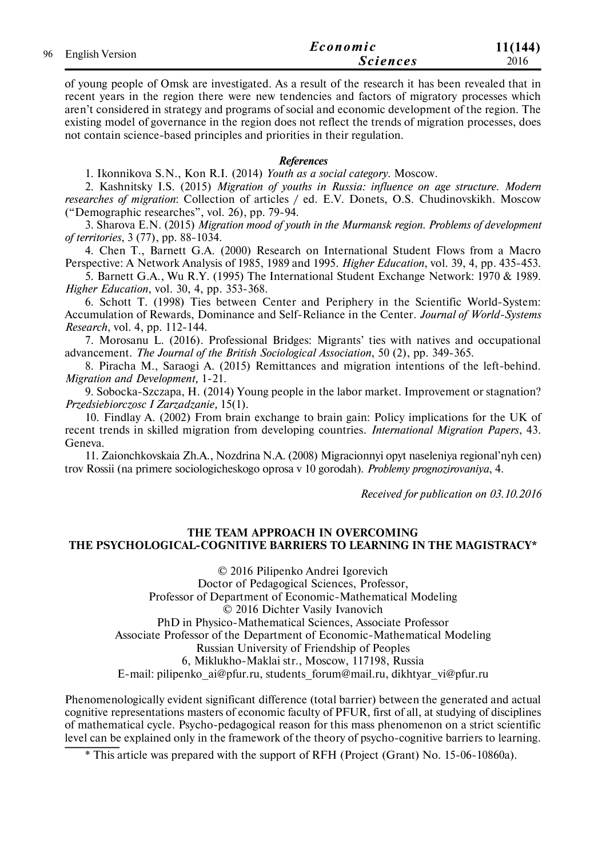| 96 English Version | Economic        | 11(144) |
|--------------------|-----------------|---------|
|                    | <b>Sciences</b> | 2016    |

of young people of Omsk are investigated. As a result of the research it has been revealed that in recent years in the region there were new tendencies and factors of migratory processes which aren't considered in strategy and programs of social and economic development of the region. The existing model of governance in the region does not reflect the trends of migration processes, does not contain science-based principles and priorities in their regulation.

### *References*

1. Ikonnikova S.N., Kon R.I. (2014) *Youth as a social category*. Moscow.

2. Kashnitsky I.S. (2015) *Migration of youths in Russia: influence on age structure. Modern researches of migration*: Collection of articles / ed. E.V. Donets, O.S. Chudinovskikh. Moscow ("Demographic researches", vol. 26), pp. 79-94.

3. Sharova E.N. (2015) *Migration mood of youth in the Murmansk region*. *Problems of development of territories*, 3 (77), pp. 88-1034.

4. Chen T., Barnett G.A. (2000) Research on International Student Flows from a Macro Perspective: A Network Analysis of 1985, 1989 and 1995. *Higher Education*, vol. 39, 4, pp. 435-453.

5. Barnett G.A., Wu R.Y. (1995) The International Student Exchange Network: 1970 & 1989. *Higher Education*, vol. 30, 4, pp. 353-368.

6. Schott T. (1998) Ties between Center and Periphery in the Scientific World-System: Accumulation of Rewards, Dominance and Self-Reliance in the Center. *Journal of World-Systems Research*, vol. 4, рр. 112-144.

7. Morosanu L. (2016). Professional Bridges: Migrants' ties with natives and occupational advancement. *The Journal of the British Sociological Association*, 50 (2), рр. 349-365.

8. Piracha M., Saraogi A. (2015) Remittances and migration intentions of the left-behind. *Migration and Development,* 1-21.

9. Sobocka-Szczapa, H. (2014) Young people in the labor market. Improvement or stagnation? *Przedsiebiorczosc I Zarzadzanie,* 15(1).

10. Findlay A. (2002) From brain exchange to brain gain: Policy implications for the UK of recent trends in skilled migration from developing countries. *International Migration Papers*, 43. Geneva.

11. Zaionchkovskaia Zh.A., Nozdrina N.A. (2008) Migracionnyi opyt naseleniya regional'nyh cen) trov Rossii (na primere sociologicheskogo oprosa v 10 gorodah). *Problemy prognozirovaniya*, 4.

*Received for publication on 03.10.2016*

### **THE TEAM APPROACH IN OVERCOMING THE PSYCHOLOGICAL-COGNITIVE BARRIERS TO LEARNING IN THE MAGISTRACY\***

© 2016 Pilipenko Andrei Igorevich Doctor of Pedagogical Sciences, Professor, Professor of Department of Economic-Mathematical Modeling © 2016 Dichter Vasily Ivanovich PhD in Physico-Mathematical Sciences, Associate Professor Associate Professor of the Department of Economic-Mathematical Modeling Russian University of Friendship of Peoples 6, Miklukho-Maklai str., Moscow, 117198, Russia E-mail: pilipenko\_ai@pfur.ru, students\_forum@mail.ru, dikhtyar\_vi@pfur.ru

Phenomenologically evident significant difference (total barrier) between the generated and actual cognitive representations masters of economic faculty of PFUR, first of all, at studying of disciplines of mathematical cycle. Psycho-pedagogical reason for this mass phenomenon on a strict scientific level can be explained only in the framework of the theory of psycho-cognitive barriers to learning.

\* This article was prepared with the support of RFH (Project (Grant) No. 15-06-10860а).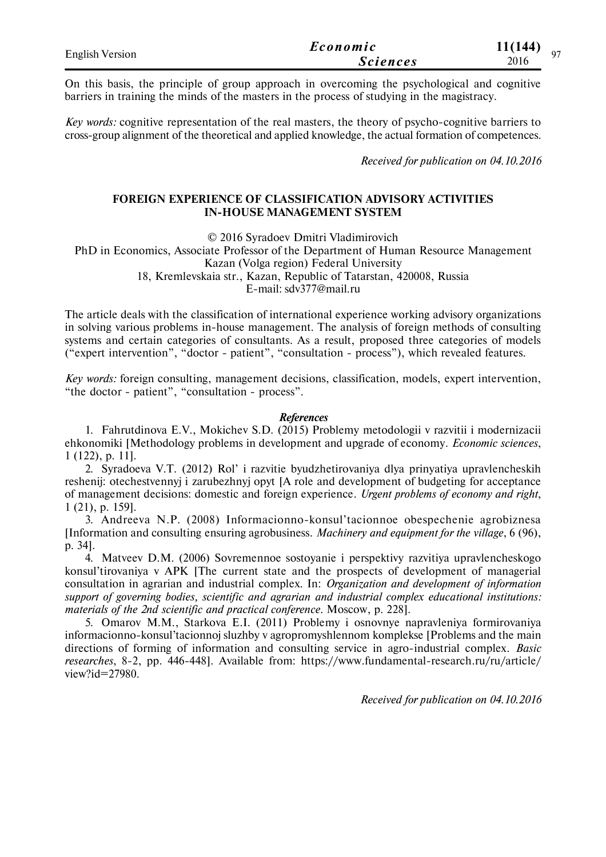| <b>English Version</b> | Economic        | 11(144) |
|------------------------|-----------------|---------|
|                        | <b>Sciences</b> | 2016    |

On this basis, the principle of group approach in overcoming the psychological and cognitive barriers in training the minds of the masters in the process of studying in the magistracy.

*Key words:* cognitive representation of the real masters, the theory of psycho-cognitive barriers to cross-group alignment of the theoretical and applied knowledge, the actual formation of competences.

*Received for publication on 04.10.2016*

### **FOREIGN EXPERIENCE OF CLASSIFICATION ADVISORY ACTIVITIES IN-HOUSE MANAGEMENT SYSTEM**

© 2016 Syradoev Dmitri Vladimirovich

PhD in Economics, Associate Professor of the Department of Human Resource Management Kazan (Volga region) Federal University 18, Kremlevskaia str., Kazan, Republic of Tatarstan, 420008, Russia

E-mail: sdv377@mail.ru

The article deals with the classification of international experience working advisory organizations in solving various problems in-house management. The analysis of foreign methods of consulting systems and certain categories of consultants. As a result, proposed three categories of models ("expert intervention", "doctor - patient", "consultation - process"), which revealed features.

*Key words:* foreign consulting, management decisions, classification, models, expert intervention, "the doctor - patient", "consultation - process".

#### *References*

1. Fahrutdinova E.V., Mokichev S.D. (2015) Problemy metodologii v razvitii i modernizacii ehkonomiki [Methodology problems in development and upgrade of economy. *Economic sciences*, 1 (122), р. 11].

2. Syradoeva V.T. (2012) Rol' i razvitie byudzhetirovaniya dlya prinyatiya upravlencheskih reshenij: otechestvennyj i zarubezhnyj opyt [A role and development of budgeting for acceptance of management decisions: domestic and foreign experience. *Urgent problems of economy and right*, 1 (21), р. 159].

3. Andreeva N.P. (2008) Informacionno-konsul'tacionnoe obespechenie agrobiznesa [Information and consulting ensuring agrobusiness. *Machinery and equipment for the village*, 6 (96), р. 34].

4. Matveev D.M. (2006) Sovremennoe sostoyanie i perspektivy razvitiya upravlencheskogo konsul'tirovaniya v APK [The current state and the prospects of development of managerial consultation in agrarian and industrial complex. In: *Organization and development of information support of governing bodies, scientific and agrarian and industrial complex educational institutions: materials of the 2nd scientific and practical conference*. Moscow, p. 228].

5. Omarov M.M., Starkova E.I. (2011) Problemy i osnovnye napravleniya formirovaniya informacionno-konsul'tacionnoj sluzhby v agropromyshlennom komplekse [Problems and the main directions of forming of information and consulting service in agro-industrial complex. *Basic researches*, 8-2, pp. 446-448]. Available from: https://www.fundamental-research.ru/ru/article/ view?id=27980.

*Received for publication on 04.10.2016*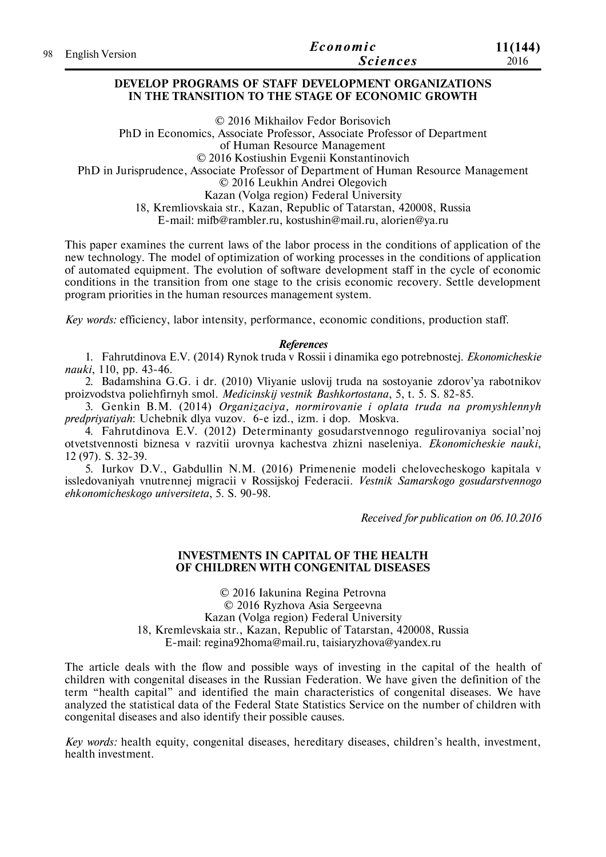| 98 English Version | Economic        | 11(144) |
|--------------------|-----------------|---------|
|                    | <i>Sciences</i> | 2016    |

#### **DEVELOP PROGRAMS OF STAFF DEVELOPMENT ORGANIZATIONS IN THE TRANSITION TO THE STAGE OF ECONOMIC GROWTH**

© 2016 Mikhailov Fedor Borisovich PhD in Economics, Associate Professor, Associate Professor of Department of Human Resource Management © 2016 Kostiushin Evgenii Konstantinovich PhD in Jurisprudence, Associate Professor of Department of Human Resource Management © 2016 Leukhin Andrei Olegovich Kazan (Volga region) Federal University 18, Kremliovskaia str., Kazan, Republic of Tatarstan, 420008, Russia E-mail: mifb@rambler.ru, kostushin@mail.ru, alorien@ya.ru

This paper examines the current laws of the labor process in the conditions of application of the new technology. The model of optimization of working processes in the conditions of application of automated equipment. The evolution of software development staff in the cycle of economic conditions in the transition from one stage to the crisis economic recovery. Settle development program priorities in the human resources management system.

*Key words:* efficiency, labor intensity, performance, economic conditions, production staff.

### *References*

1. Fahrutdinova E.V. (2014) Rynok truda v Rossii i dinamika ego potrebnostej. *Ekonomicheskie nauki*, 110, pp. 43-46.

2. Badamshina G.G. i dr. (2010) Vliyanie uslovij truda na sostoyanie zdorov'ya rabotnikov proizvodstva poliehfirnyh smol. *Medicinskij vestnik Bashkortostana*, 5, t. 5. S. 82-85.

3. Genkin B.M. (2014) *Organizaciya, normirovanie i oplata truda na promyshlennyh predpriyatiyah*: Uchebnik dlya vuzov. 6-e izd., izm. i dop. Moskva.

4. Fahrutdinova E.V. (2012) Determinanty gosudarstvennogo regulirovaniya social'noj otvetstvennosti biznesa v razvitii urovnya kachestva zhizni naseleniya. *Ekonomicheskie nauki*, 12 (97). S. 32-39.

5. Iurkov D.V., Gabdullin N.M. (2016) Primenenie modeli chelovecheskogo kapitala v issledovaniyah vnutrennej migracii v Rossijskoj Federacii. *Vestnik Samarskogo gosudarstvennogo ehkonomicheskogo universiteta*, 5. S. 90-98.

*Received for publication on 06.10.2016*

#### **INVESTMENTS IN CAPITAL OF THE HEALTH OF CHILDREN WITH CONGENITAL DISEASES**

© 2016 Iakunina Regina Petrovna © 2016 Ryzhova Asia Sergeevna Kazan (Volga region) Federal University 18, Kremlevskaia str., Kazan, Republic of Tatarstan, 420008, Russia E-mail: regina92homa@mail.ru, taisiaryzhova@yandex.ru

The article deals with the flow and possible ways of investing in the capital of the health of children with congenital diseases in the Russian Federation. We have given the definition of the term "health capital" and identified the main characteristics of congenital diseases. We have analyzed the statistical data of the Federal State Statistics Service on the number of children with congenital diseases and also identify their possible causes.

*Key words:* health equity, congenital diseases, hereditary diseases, children's health, investment, health investment.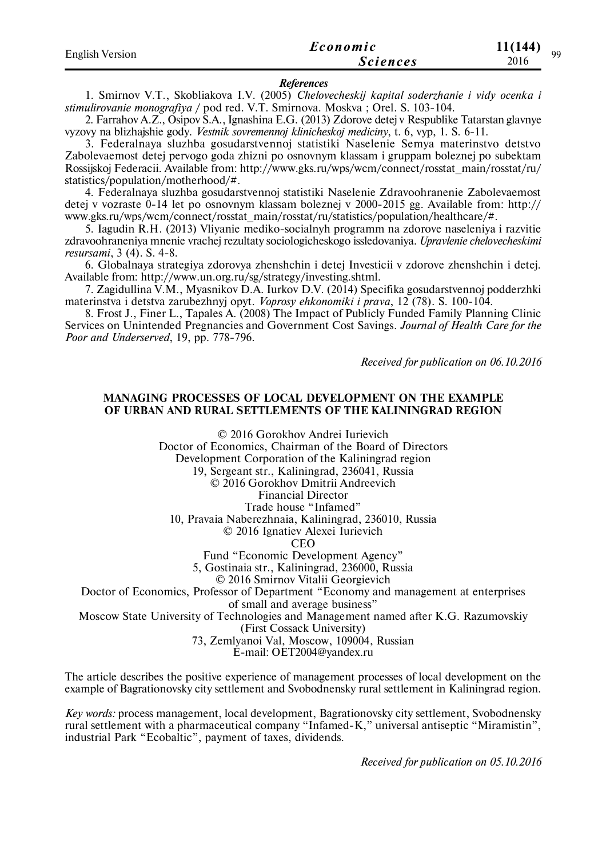| <b>English Version</b> | Economic        | 11(144)<br>QQ |
|------------------------|-----------------|---------------|
|                        | <i>Sciences</i> | 2016          |

#### *References*

1. Smirnov V.T., Skobliakova I.V. (2005) *Chelovecheskij kapital soderzhanie i vidy ocenka i stimulirovanie monografiya* / pod red. V.T. Smirnova. Moskva ; Orel. S. 103-104.

2. Farrahov A.Z., Osipov S.A., Ignashina E.G. (2013) Zdorove detej v Respublike Tatarstan glavnye vyzovy na blizhajshie gody. *Vestnik sovremennoj klinicheskoj mediciny*, t. 6, vyp, 1. S. 6-11.

3. Federalnaya sluzhba gosudarstvennoj statistiki Naselenie Semya materinstvo detstvo Zabolevaemost detej pervogo goda zhizni po osnovnym klassam i gruppam boleznej po subektam Rossijskoj Federacii. Available from: http://www.gks.ru/wps/wcm/connect/rosstat\_main/rosstat/ru/ statistics/population/motherhood/#.

4. Federalnaya sluzhba gosudarstvennoj statistiki Naselenie Zdravoohranenie Zabolevaemost detej v vozraste 0-14 let po osnovnym klassam boleznej v 2000-2015 gg. Available from: http:// www.gks.ru/wps/wcm/connect/rosstat\_main/rosstat/ru/statistics/population/healthcare/#.

5. Iagudin R.H. (2013) Vliyanie mediko-socialnyh programm na zdorove naseleniya i razvitie zdravoohraneniya mnenie vrachej rezultaty sociologicheskogo issledovaniya. *Upravlenie chelovecheskimi resursami*, 3 (4). S. 4-8.

6. Globalnaya strategiya zdorovya zhenshchin i detej Investicii v zdorove zhenshchin i detej. Available from: http://www.un.org.ru/sg/strategy/investing.shtml.

7. Zagidullina V.M., Myasnikov D.A. Iurkov D.V. (2014) Specifika gosudarstvennoj podderzhki materinstva i detstva zarubezhnyj opyt. *Voprosy ehkonomiki i prava*, 12 (78). S. 100-104.

8. Frost J., Finer L., Tapales A. (2008) The Impact of Publicly Funded Family Planning Clinic Services on Unintended Pregnancies and Government Cost Savings. *Journal of Health Care for the Poor and Underserved*, 19, pp. 778-796.

*Received for publication on 06.10.2016*

#### **MANAGING PROCESSES OF LOCAL DEVELOPMENT ON THE EXAMPLE OF URBAN AND RURAL SETTLEMENTS OF THE KALININGRAD REGION**

© 2016 Gorokhov Andrei Iurievich Doctor of Economics, Chairman of the Board of Directors Development Corporation of the Kaliningrad region 19, Sergeant str., Kaliningrad, 236041, Russia © 2016 Gorokhov Dmitrii Andreevich Financial Director Trade house "Infamed" 10, Pravaia Naberezhnaia, Kaliningrad, 236010, Russia © 2016 Ignatiev Alexei Iurievich **CEO** Fund "Economic Development Agency" 5, Gostinaia str., Kaliningrad, 236000, Russia © 2016 Smirnov Vitalii Georgievich Doctor of Economics, Professor of Department "Economy and management at enterprises of small and average business" Moscow State University of Technologies and Management named after K.G. Razumovskiy (First Cossack University) 73, Zemlyanoi Val, Moscow, 109004, Russian

E-mail: OET2004@yandex.ru

The article describes the positive experience of management processes of local development on the example of Bagrationovsky city settlement and Svobodnensky rural settlement in Kaliningrad region.

*Key words:* process management, local development, Bagrationovsky city settlement, Svobodnensky rural settlement with a pharmaceutical company "Infamed-K," universal antiseptic "Miramistin", industrial Park "Ecobaltic", payment of taxes, dividends.

*Received for publication on 05.10.2016*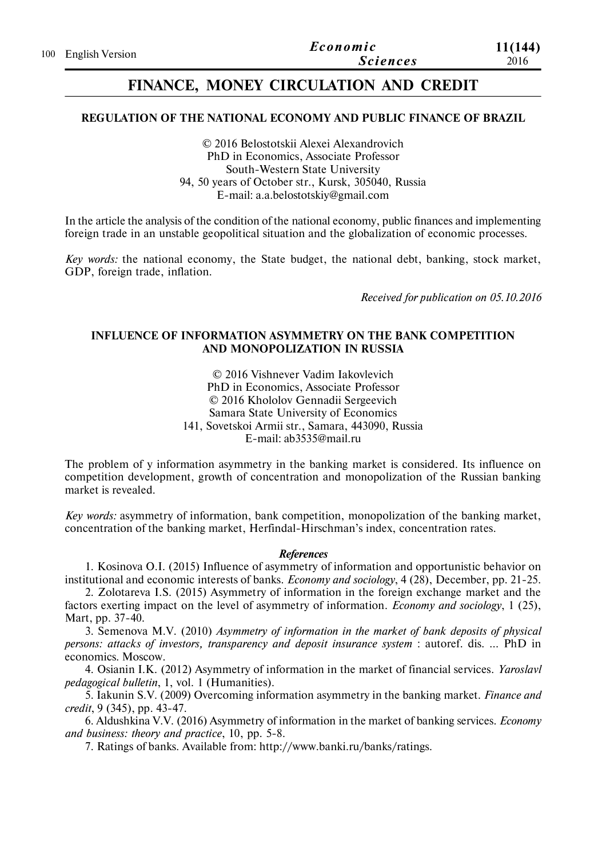# **FINANCE, MONEY CIRCULATION AND CREDIT**

# **REGULATION OF THE NATIONAL ECONOMY AND PUBLIC FINANCE OF BRAZIL**

© 2016 Belostotskii Alexei Alexandrovich PhD in Economics, Associate Professor South-Western State University 94, 50 years of October str., Kursk, 305040, Russia Е-mail: a.a.belostotskiy@gmail.com

In the article the analysis of the condition of the national economy, public finances and implementing foreign trade in an unstable geopolitical situation and the globalization of economic processes.

*Key words:* the national economy, the State budget, the national debt, banking, stock market, GDP, foreign trade, inflation.

*Received for publication on 05.10.2016*

# **INFLUENCE OF INFORMATION ASYMMETRY ON THE BANK COMPETITION AND MONOPOLIZATION IN RUSSIA**

© 2016 Vishnever Vadim Iakovlevich PhD in Economics, Associate Professor © 2016 Khololov Gennadii Sergeevich Samara State University of Economics 141, Sovetskoi Armii str., Samara, 443090, Russia E-mail: ab3535@mail.ru

The problem of y information asymmetry in the banking market is considered. Its influence on competition development, growth of concentration and monopolization of the Russian banking market is revealed.

*Key words:* asymmetry of information, bank competition, monopolization of the banking market, concentration of the banking market, Herfindal-Hirschman's index, concentration rates.

#### *References*

1. Kosinova O.I. (2015) Influence of asymmetry of information and opportunistic behavior on institutional and economic interests of banks. *Economy and sociology*, 4 (28), December, рр. 21-25.

2. Zolotareva I.S. (2015) Asymmetry of information in the foreign exchange market and the factors exerting impact on the level of asymmetry of information. *Economy and sociology*, 1 (25), Mart, рр. 37-40.

3. Semenova M.V. (2010) *Asymmetry of information in the market of bank deposits of physical persons: attacks of investors, transparency and deposit insurance system* : autoref. dis. … PhD in economics. Moscow.

4. Osianin I.K. (2012) Asymmetry of information in the market of financial services. *Yaroslavl pedagogical bulletin*, 1, vol. 1 (Humanities).

5. Iakunin S.V. (2009) Overcoming information asymmetry in the banking market. *Finance and credit*, 9 (345), pp. 43-47.

6. Aldushkina V.V. (2016) Asymmetry of information in the market of banking services. *Economy and business: theory and practice*, 10, pp. 5-8.

7. Ratings of banks. Available from: http://www.banki.ru/banks/ratings.